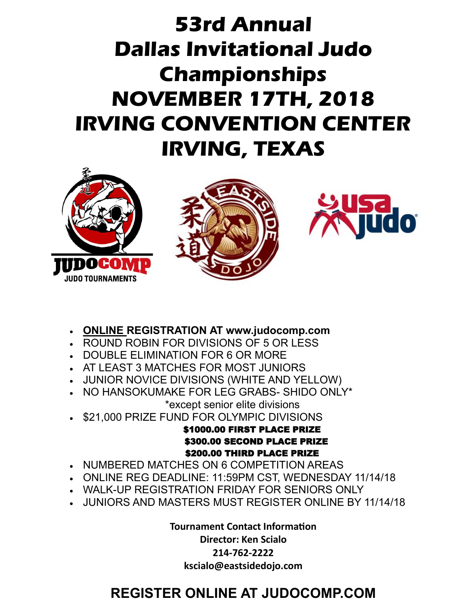# **53rd Annual Dallas Invitational Judo Championships NOVEMBER 17TH, 2018 IRVING CONVENTION CENTER IRVING, TEXAS**







- **ONLINE REGISTRATION AT www.judocomp.com**
- ROUND ROBIN FOR DIVISIONS OF 5 OR LESS
- DOUBLE ELIMINATION FOR 6 OR MORE
- AT LEAST 3 MATCHES FOR MOST JUNIORS
- JUNIOR NOVICE DIVISIONS (WHITE AND YELLOW)
- NO HANSOKUMAKE FOR LEG GRABS- SHIDO ONLY\* \*except senior elite divisions
- \$21,000 PRIZE FUND FOR OLYMPIC DIVISIONS

### \$1000.00 FIRST PLACE PRIZE \$300.00 SECOND PLACE PRIZE \$200.00 THIRD PLACE PRIZE

- NUMBERED MATCHES ON 6 COMPETITION AREAS
- ONLINE REG DEADLINE: 11:59PM CST, WEDNESDAY 11/14/18
- WALK-UP REGISTRATION FRIDAY FOR SENIORS ONLY
- JUNIORS AND MASTERS MUST REGISTER ONLINE BY 11/14/18

**Tournament Contact Information**

**Director: Ken Scialo 214-762-2222**

**kscialo@eastsidedojo.com**

# **REGISTER ONLINE AT JUDOCOMP.COM**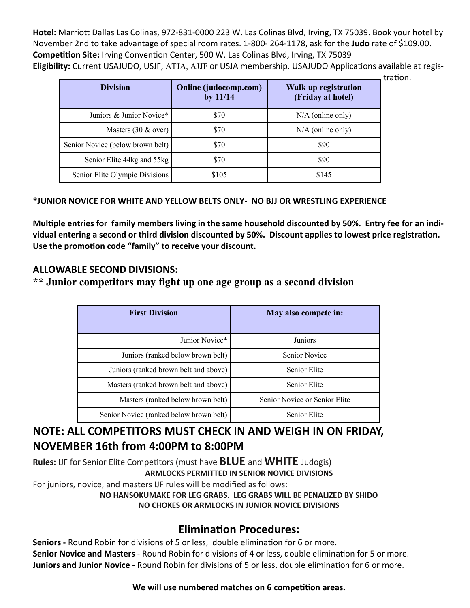**Hotel:** Marriott Dallas Las Colinas, 972-831-0000 223 W. Las Colinas Blvd, Irving, TX 75039. Book your hotel by November 2nd to take advantage of special room rates. 1-800- 264-1178, ask for the **Judo** rate of \$109.00. **Competition Site:** Irving Convention Center, 500 W. Las Colinas Blvd, Irving, TX 75039 **Eligibility:** Current USAJUDO, USJF, ATJA, AJJF or USJA membership. USAJUDO Applications available at regis-

tration.

| <b>Division</b>                  | Online (judocomp.com)<br>by $11/14$ | Walk up registration<br>(Friday at hotel) |
|----------------------------------|-------------------------------------|-------------------------------------------|
| Juniors & Junior Novice*         | \$70                                | $N/A$ (online only)                       |
| Masters $(30 \& over)$           | \$70                                | $N/A$ (online only)                       |
| Senior Novice (below brown belt) | \$70                                | \$90                                      |
| Senior Elite 44kg and 55kg       | \$70                                | \$90                                      |
| Senior Elite Olympic Divisions   | \$105                               | \$145                                     |

#### **\*JUNIOR NOVICE FOR WHITE AND YELLOW BELTS ONLY- NO BJJ OR WRESTLING EXPERIENCE**

**Multiple entries for family members living in the same household discounted by 50%. Entry fee for an individual entering a second or third division discounted by 50%. Discount applies to lowest price registration. Use the promotion code "family" to receive your discount.**

#### **ALLOWABLE SECOND DIVISIONS:**

#### **\*\* Junior competitors may fight up one age group as a second division**

| <b>First Division</b>                   | May also compete in:          |
|-----------------------------------------|-------------------------------|
| Junior Novice*                          | Juniors                       |
| Juniors (ranked below brown belt)       | Senior Novice                 |
| Juniors (ranked brown belt and above)   | Senior Elite                  |
| Masters (ranked brown belt and above)   | Senior Elite                  |
| Masters (ranked below brown belt)       | Senior Novice or Senior Elite |
| Senior Novice (ranked below brown belt) | Senior Elite                  |

### **NOTE: ALL COMPETITORS MUST CHECK IN AND WEIGH IN ON FRIDAY, NOVEMBER 16th from 4:00PM to 8:00PM**

**Rules:** IJF for Senior Elite Competitors (must have **BLUE** and **WHITE** Judogis) **ARMLOCKS PERMITTED IN SENIOR NOVICE DIVISIONS**

For juniors, novice, and masters IJF rules will be modified as follows:

**NO HANSOKUMAKE FOR LEG GRABS. LEG GRABS WILL BE PENALIZED BY SHIDO NO CHOKES OR ARMLOCKS IN JUNIOR NOVICE DIVISIONS**

### **Elimination Procedures:**

**Seniors -** Round Robin for divisions of 5 or less, double elimination for 6 or more. **Senior Novice and Masters** - Round Robin for divisions of 4 or less, double elimination for 5 or more. **Juniors and Junior Novice** - Round Robin for divisions of 5 or less, double elimination for 6 or more.

#### **We will use numbered matches on 6 competition areas.**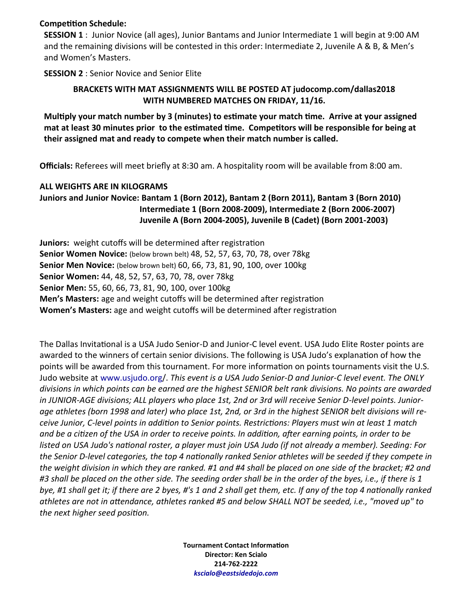#### **Competition Schedule:**

**SESSION 1** : Junior Novice (all ages), Junior Bantams and Junior Intermediate 1 will begin at 9:00 AM and the remaining divisions will be contested in this order: Intermediate 2, Juvenile A & B, & Men's and Women's Masters.

**SESSION 2** : Senior Novice and Senior Elite

#### **BRACKETS WITH MAT ASSIGNMENTS WILL BE POSTED AT judocomp.com/dallas2018 WITH NUMBERED MATCHES ON FRIDAY, 11/16.**

**Multiply your match number by 3 (minutes) to estimate your match time. Arrive at your assigned mat at least 30 minutes prior to the estimated time. Competitors will be responsible for being at their assigned mat and ready to compete when their match number is called.**

**Officials:** Referees will meet briefly at 8:30 am. A hospitality room will be available from 8:00 am.

#### **ALL WEIGHTS ARE IN KILOGRAMS**

**Juniors and Junior Novice: Bantam 1 (Born 2012), Bantam 2 (Born 2011), Bantam 3 (Born 2010) Intermediate 1 (Born 2008-2009), Intermediate 2 (Born 2006-2007) Juvenile A (Born 2004-2005), Juvenile B (Cadet) (Born 2001-2003)**

**Juniors:** weight cutoffs will be determined after registration **Senior Women Novice:** (below brown belt) 48, 52, 57, 63, 70, 78, over 78kg **Senior Men Novice:** (below brown belt) 60, 66, 73, 81, 90, 100, over 100kg **Senior Women:** 44, 48, 52, 57, 63, 70, 78, over 78kg **Senior Men:** 55, 60, 66, 73, 81, 90, 100, over 100kg **Men's Masters:** age and weight cutoffs will be determined after registration **Women's Masters:** age and weight cutoffs will be determined after registration

The Dallas Invitational is a USA Judo Senior-D and Junior-C level event. USA Judo Elite Roster points are awarded to the winners of certain senior divisions. The following is USA Judo's explanation of how the points will be awarded from this tournament. For more information on points tournaments visit the U.S. Judo website at www.usjudo.org/. *This event is a USA Judo Senior-D and Junior-C level event. The ONLY divisions in which points can be earned are the highest SENIOR belt rank divisions. No points are awarded in JUNIOR-AGE divisions; ALL players who place 1st, 2nd or 3rd will receive Senior D-level points. Juniorage athletes (born 1998 and later) who place 1st, 2nd, or 3rd in the highest SENIOR belt divisions will receive Junior, C-level points in addition to Senior points. Restrictions: Players must win at least 1 match and be a citizen of the USA in order to receive points. In addition, after earning points, in order to be listed on USA Judo's national roster, a player must join USA Judo (if not already a member). Seeding: For the Senior D-level categories, the top 4 nationally ranked Senior athletes will be seeded if they compete in the weight division in which they are ranked. #1 and #4 shall be placed on one side of the bracket; #2 and #3 shall be placed on the other side. The seeding order shall be in the order of the byes, i.e., if there is 1 bye, #1 shall get it; if there are 2 byes, #'s 1 and 2 shall get them, etc. If any of the top 4 nationally ranked athletes are not in attendance, athletes ranked #5 and below SHALL NOT be seeded, i.e., "moved up" to the next higher seed position.*

> **Tournament Contact Information Director: Ken Scialo 214-762-2222** *kscialo@eastsidedojo.com*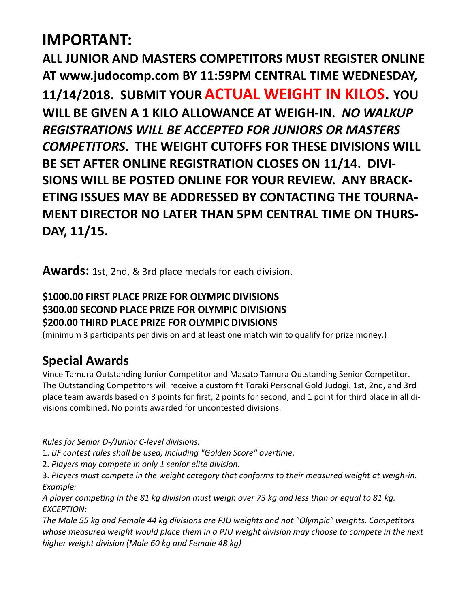# **IMPORTANT:**

**ALL JUNIOR AND MASTERS COMPETITORS MUST REGISTER ONLINE AT www.judocomp.com BY 11:59PM CENTRAL TIME WEDNESDAY, 11/14/2018. SUBMIT YOURACTUAL WEIGHT IN KILOS. YOU WILL BE GIVEN A 1 KILO ALLOWANCE AT WEIGH-IN.** *NO WALKUP REGISTRATIONS WILL BE ACCEPTED FOR JUNIORS OR MASTERS COMPETITORS***. THE WEIGHT CUTOFFS FOR THESE DIVISIONS WILL BE SET AFTER ONLINE REGISTRATION CLOSES ON 11/14. DIVI-SIONS WILL BE POSTED ONLINE FOR YOUR REVIEW. ANY BRACK-ETING ISSUES MAY BE ADDRESSED BY CONTACTING THE TOURNA-MENT DIRECTOR NO LATER THAN 5PM CENTRAL TIME ON THURS-DAY, 11/15.**

**Awards:** 1st, 2nd, & 3rd place medals for each division.

## **\$1000.00 FIRST PLACE PRIZE FOR OLYMPIC DIVISIONS \$300.00 SECOND PLACE PRIZE FOR OLYMPIC DIVISIONS \$200.00 THIRD PLACE PRIZE FOR OLYMPIC DIVISIONS**

(minimum 3 participants per division and at least one match win to qualify for prize money.)

# **Special Awards**

Vince Tamura Outstanding Junior Competitor and Masato Tamura Outstanding Senior Competitor. The Outstanding Competitors will receive a custom fit Toraki Personal Gold Judogi. 1st, 2nd, and 3rd place team awards based on 3 points for first, 2 points for second, and 1 point for third place in all divisions combined. No points awarded for uncontested divisions.

*Rules for Senior D-/Junior C-level divisions:*

1. *IJF contest rules shall be used, including "Golden Score" overtime.*

2. *Players may compete in only 1 senior elite division.*

3. *Players must compete in the weight category that conforms to their measured weight at weigh-in. Example:*

*A player competing in the 81 kg division must weigh over 73 kg and less than or equal to 81 kg. EXCEPTION:*

*The Male 55 kg and Female 44 kg divisions are PJU weights and not "Olympic" weights. Competitors whose measured weight would place them in a PJU weight division may choose to compete in the next higher weight division (Male 60 kg and Female 48 kg)*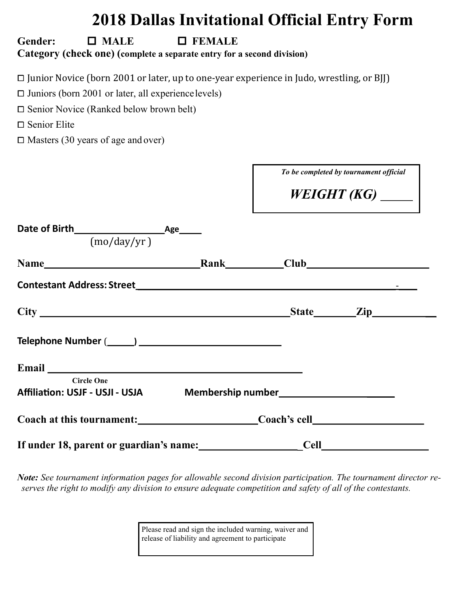# **2018 Dallas Invitational Official Entry Form**

Г

### Gender:  $\Box$  MALE  $\Box$  FEMALE **Category (check one) (complete a separate entry for a second division)**

⧠ Junior Novice (born 2001 or later, up to one-year experience in Judo, wrestling, or BJJ)

 $\square$  Juniors (born 2001 or later, all experience levels)

□ Senior Novice (Ranked below brown belt)

□ Senior Elite

 $\square$  Masters (30 years of age and over)

|                                                                                                                                                                                                                               | To be completed by tournament official |
|-------------------------------------------------------------------------------------------------------------------------------------------------------------------------------------------------------------------------------|----------------------------------------|
|                                                                                                                                                                                                                               | WEIGHT (KG) $\_\_$                     |
| (mo/day/yr)                                                                                                                                                                                                                   |                                        |
|                                                                                                                                                                                                                               |                                        |
|                                                                                                                                                                                                                               |                                        |
|                                                                                                                                                                                                                               |                                        |
|                                                                                                                                                                                                                               |                                        |
| Email and the contract of the contract of the contract of the contract of the contract of the contract of the contract of the contract of the contract of the contract of the contract of the contract of the contract of the |                                        |
| <b>Circle One</b><br>Affiliation: USJF - USJI - USJA Membership number_______________________________                                                                                                                         |                                        |
|                                                                                                                                                                                                                               |                                        |
|                                                                                                                                                                                                                               | <b>Cell</b>                            |

*Note: See tournament information pages for allowable second division participation. The tournament director reserves the right to modify any division to ensure adequate competition and safety of all of the contestants.*

> Please read and sign the included warning, waiver and release of liability and agreement to participate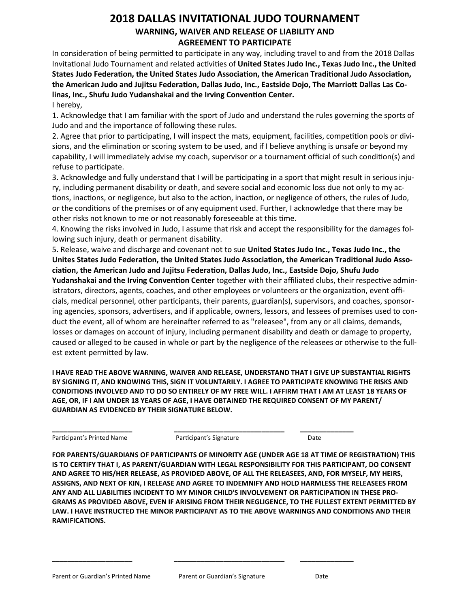#### **2018 DALLAS INVITATIONAL JUDO TOURNAMENT WARNING, WAIVER AND RELEASE OF LIABILITY AND AGREEMENT TO PARTICIPATE**

In consideration of being permitted to participate in any way, including travel to and from the 2018 Dallas Invitational Judo Tournament and related activities of **United States Judo Inc., Texas Judo Inc., the United States Judo Federation, the United States Judo Association, the American Traditional Judo Association, the American Judo and Jujitsu Federation, Dallas Judo, Inc., Eastside Dojo, The Marriott Dallas Las Colinas, Inc., Shufu Judo Yudanshakai and the Irving Convention Center.** I hereby,

1. Acknowledge that I am familiar with the sport of Judo and understand the rules governing the sports of Judo and and the importance of following these rules.

2. Agree that prior to participating, I will inspect the mats, equipment, facilities, competition pools or divisions, and the elimination or scoring system to be used, and if I believe anything is unsafe or beyond my capability, I will immediately advise my coach, supervisor or a tournament official of such condition(s) and refuse to participate.

3. Acknowledge and fully understand that I will be participating in a sport that might result in serious injury, including permanent disability or death, and severe social and economic loss due not only to my actions, inactions, or negligence, but also to the action, inaction, or negligence of others, the rules of Judo, or the conditions of the premises or of any equipment used. Further, I acknowledge that there may be other risks not known to me or not reasonably foreseeable at this time.

4. Knowing the risks involved in Judo, I assume that risk and accept the responsibility for the damages following such injury, death or permanent disability.

5. Release, waive and discharge and covenant not to sue **United States Judo Inc., Texas Judo Inc., the Unites States Judo Federation, the United States Judo Association, the American Traditional Judo Association, the American Judo and Jujitsu Federation, Dallas Judo, Inc., Eastside Dojo, Shufu Judo** 

**Yudanshakai and the Irving Convention Center** together with their affiliated clubs, their respective administrators, directors, agents, coaches, and other employees or volunteers or the organization, event officials, medical personnel, other participants, their parents, guardian(s), supervisors, and coaches, sponsoring agencies, sponsors, advertisers, and if applicable, owners, lessors, and lessees of premises used to conduct the event, all of whom are hereinafter referred to as "releasee", from any or all claims, demands, losses or damages on account of injury, including permanent disability and death or damage to property, caused or alleged to be caused in whole or part by the negligence of the releasees or otherwise to the fullest extent permitted by law.

**I HAVE READ THE ABOVE WARNING, WAIVER AND RELEASE, UNDERSTAND THAT I GIVE UP SUBSTANTIAL RIGHTS BY SIGNING IT, AND KNOWING THIS, SIGN IT VOLUNTARILY. I AGREE TO PARTICIPATE KNOWING THE RISKS AND CONDITIONS INVOLVED AND TO DO SO ENTIRELY OF MY FREE WILL. I AFFIRM THAT I AM AT LEAST 18 YEARS OF AGE, OR, IF I AM UNDER 18 YEARS OF AGE, I HAVE OBTAINED THE REQUIRED CONSENT OF MY PARENT/ GUARDIAN AS EVIDENCED BY THEIR SIGNATURE BELOW.**

**\_\_\_\_\_\_\_\_\_\_\_\_\_\_\_\_\_\_\_\_\_ \_\_\_\_\_\_\_\_\_\_\_\_\_\_\_\_\_\_\_\_\_\_\_\_\_\_\_\_\_ \_\_\_\_\_\_\_\_\_\_\_\_\_\_** Participant's Printed Name **Participant's Signature** Participant's Signature Date

**FOR PARENTS/GUARDIANS OF PARTICIPANTS OF MINORITY AGE (UNDER AGE 18 AT TIME OF REGISTRATION) THIS IS TO CERTIFY THAT I, AS PARENT/GUARDIAN WITH LEGAL RESPONSIBILITY FOR THIS PARTICIPANT, DO CONSENT AND AGREE TO HIS/HER RELEASE, AS PROVIDED ABOVE, OF ALL THE RELEASEES, AND, FOR MYSELF, MY HEIRS, ASSIGNS, AND NEXT OF KIN, I RELEASE AND AGREE TO INDEMNIFY AND HOLD HARMLESS THE RELEASEES FROM ANY AND ALL LIABILITIES INCIDENT TO MY MINOR CHILD'S INVOLVEMENT OR PARTICIPATION IN THESE PRO-GRAMS AS PROVIDED ABOVE, EVEN IF ARISING FROM THEIR NEGLIGENCE, TO THE FULLEST EXTENT PERMITTED BY LAW. I HAVE INSTRUCTED THE MINOR PARTICIPANT AS TO THE ABOVE WARNINGS AND CONDITIONS AND THEIR RAMIFICATIONS.**

**\_\_\_\_\_\_\_\_\_\_\_\_\_\_\_\_\_\_\_\_\_ \_\_\_\_\_\_\_\_\_\_\_\_\_\_\_\_\_\_\_\_\_\_\_\_\_\_\_\_\_ \_\_\_\_\_\_\_\_\_\_\_\_\_\_**